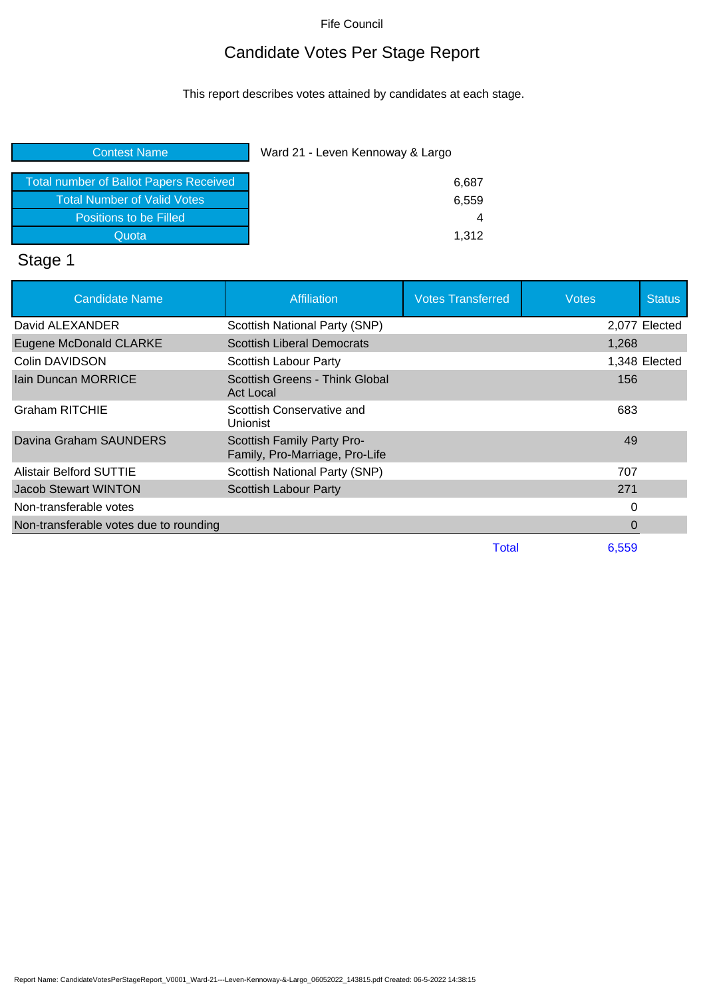Fife Council

## Candidate Votes Per Stage Report

This report describes votes attained by candidates at each stage.

#### Contest Name Ward 21 - Leven Kennoway & Largo

| <b>Total number of Ballot Papers Received</b> |  |
|-----------------------------------------------|--|
|                                               |  |
| <b>Total Number of Valid Votes</b>            |  |
| Positions to be Filled                        |  |
|                                               |  |
| Quota                                         |  |

# Stage 1

| <b>Candidate Name</b>                  | Affiliation                                                  | <b>Votes Transferred</b> | <b>Votes</b> | <b>Status</b> |
|----------------------------------------|--------------------------------------------------------------|--------------------------|--------------|---------------|
| David ALEXANDER                        | Scottish National Party (SNP)                                |                          |              | 2,077 Elected |
| Eugene McDonald CLARKE                 | <b>Scottish Liberal Democrats</b>                            |                          | 1,268        |               |
| Colin DAVIDSON                         | Scottish Labour Party                                        |                          |              | 1,348 Elected |
| Jain Duncan MORRICE                    | Scottish Greens - Think Global<br>Act Local                  |                          | 156          |               |
| <b>Graham RITCHIE</b>                  | Scottish Conservative and<br>Unionist                        |                          | 683          |               |
| Davina Graham SAUNDERS                 | Scottish Family Party Pro-<br>Family, Pro-Marriage, Pro-Life |                          | 49           |               |
| <b>Alistair Belford SUTTIE</b>         | Scottish National Party (SNP)                                |                          | 707          |               |
| <b>Jacob Stewart WINTON</b>            | <b>Scottish Labour Party</b>                                 |                          | 271          |               |
| Non-transferable votes                 |                                                              |                          | 0            |               |
| Non-transferable votes due to rounding |                                                              |                          | 0            |               |
|                                        |                                                              | Total                    | 6.559        |               |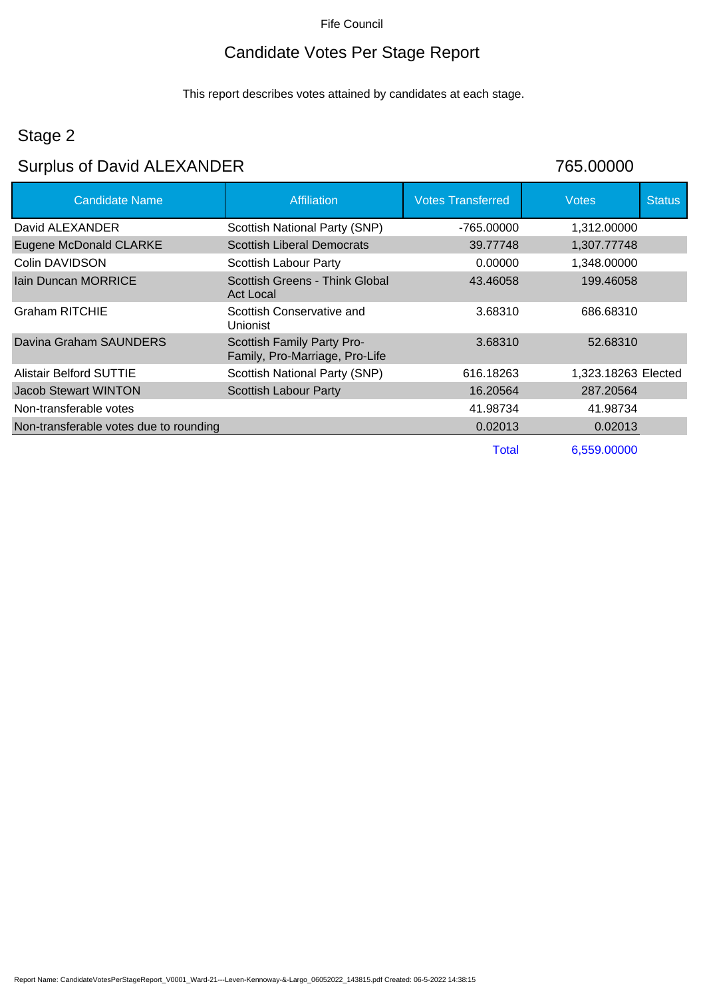#### Fife Council

## Candidate Votes Per Stage Report

This report describes votes attained by candidates at each stage.

## Stage 2

## Surplus of David ALEXANDER 765.00000

| <b>Candidate Name</b>                  | <b>Affiliation</b>                                           | <b>Votes Transferred</b> | <b>Votes</b>        | <b>Status</b> |
|----------------------------------------|--------------------------------------------------------------|--------------------------|---------------------|---------------|
| David ALEXANDER                        | Scottish National Party (SNP)                                | -765.00000               | 1,312.00000         |               |
| <b>Eugene McDonald CLARKE</b>          | <b>Scottish Liberal Democrats</b>                            | 39.77748                 | 1,307.77748         |               |
| Colin DAVIDSON                         | Scottish Labour Party                                        | 0.00000                  | 1,348.00000         |               |
| lain Duncan MORRICE                    | Scottish Greens - Think Global<br><b>Act Local</b>           | 43.46058                 | 199.46058           |               |
| Graham RITCHIE                         | Scottish Conservative and<br>Unionist                        | 3.68310                  | 686.68310           |               |
| Davina Graham SAUNDERS                 | Scottish Family Party Pro-<br>Family, Pro-Marriage, Pro-Life | 3.68310                  | 52.68310            |               |
| <b>Alistair Belford SUTTIE</b>         | Scottish National Party (SNP)                                | 616.18263                | 1,323.18263 Elected |               |
| Jacob Stewart WINTON                   | <b>Scottish Labour Party</b>                                 | 16.20564                 | 287.20564           |               |
| Non-transferable votes                 |                                                              | 41.98734                 | 41.98734            |               |
| Non-transferable votes due to rounding |                                                              | 0.02013                  | 0.02013             |               |
|                                        |                                                              | Total                    | 6,559.00000         |               |